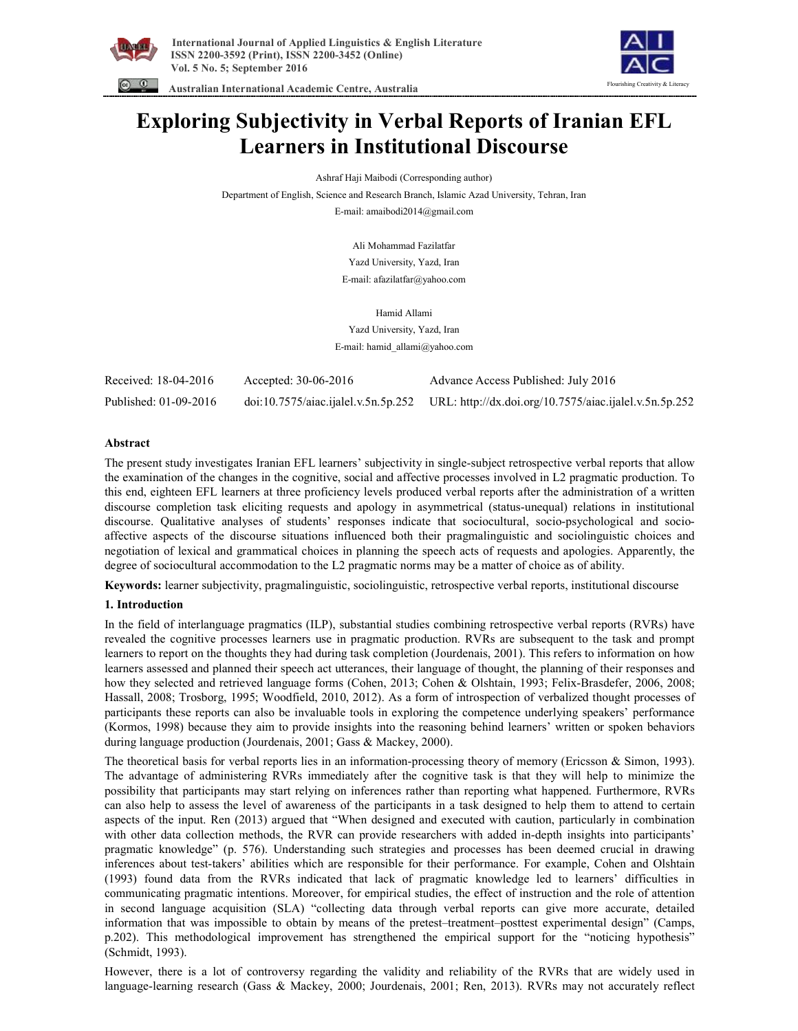



 **Australian International Academic Centre, Australia** 

# **Exploring Subjectivity in Verbal Reports of Iranian EFL Learners in Institutional Discourse**

Ashraf Haji Maibodi (Corresponding author)

Department of English, Science and Research Branch, Islamic Azad University, Tehran, Iran E-mail: amaibodi2014@gmail.com

> Ali Mohammad Fazilatfar Yazd University, Yazd, Iran E-mail: afazilatfar@yahoo.com

Hamid Allami Yazd University, Yazd, Iran E-mail: hamid\_allami@yahoo.com

| Received: 18-04-2016  | Accepted: $30-06-2016$ | Advance Access Published: July 2016                                                        |
|-----------------------|------------------------|--------------------------------------------------------------------------------------------|
| Published: 01-09-2016 |                        | doi:10.7575/aiac.ijalel.v.5n.5p.252 URL: http://dx.doi.org/10.7575/aiac.ijalel.v.5n.5p.252 |

# **Abstract**

The present study investigates Iranian EFL learners' subjectivity in single-subject retrospective verbal reports that allow the examination of the changes in the cognitive, social and affective processes involved in L2 pragmatic production. To this end, eighteen EFL learners at three proficiency levels produced verbal reports after the administration of a written discourse completion task eliciting requests and apology in asymmetrical (status-unequal) relations in institutional discourse. Qualitative analyses of students' responses indicate that sociocultural, socio-psychological and socioaffective aspects of the discourse situations influenced both their pragmalinguistic and sociolinguistic choices and negotiation of lexical and grammatical choices in planning the speech acts of requests and apologies. Apparently, the degree of sociocultural accommodation to the L2 pragmatic norms may be a matter of choice as of ability.

**Keywords:** learner subjectivity, pragmalinguistic, sociolinguistic, retrospective verbal reports, institutional discourse

# **1. Introduction**

In the field of interlanguage pragmatics (ILP), substantial studies combining retrospective verbal reports (RVRs) have revealed the cognitive processes learners use in pragmatic production. RVRs are subsequent to the task and prompt learners to report on the thoughts they had during task completion (Jourdenais, 2001). This refers to information on how learners assessed and planned their speech act utterances, their language of thought, the planning of their responses and how they selected and retrieved language forms (Cohen, 2013; Cohen & Olshtain, 1993; Felix-Brasdefer, 2006, 2008; Hassall, 2008; Trosborg, 1995; Woodfield, 2010, 2012). As a form of introspection of verbalized thought processes of participants these reports can also be invaluable tools in exploring the competence underlying speakers' performance (Kormos, 1998) because they aim to provide insights into the reasoning behind learners' written or spoken behaviors during language production (Jourdenais, 2001; Gass & Mackey, 2000).

The theoretical basis for verbal reports lies in an information-processing theory of memory (Ericsson & Simon, 1993). The advantage of administering RVRs immediately after the cognitive task is that they will help to minimize the possibility that participants may start relying on inferences rather than reporting what happened. Furthermore, RVRs can also help to assess the level of awareness of the participants in a task designed to help them to attend to certain aspects of the input. Ren (2013) argued that "When designed and executed with caution, particularly in combination with other data collection methods, the RVR can provide researchers with added in-depth insights into participants' pragmatic knowledge" (p. 576). Understanding such strategies and processes has been deemed crucial in drawing inferences about test-takers' abilities which are responsible for their performance. For example, Cohen and Olshtain (1993) found data from the RVRs indicated that lack of pragmatic knowledge led to learners' difficulties in communicating pragmatic intentions. Moreover, for empirical studies, the effect of instruction and the role of attention in second language acquisition (SLA) "collecting data through verbal reports can give more accurate, detailed information that was impossible to obtain by means of the pretest–treatment–posttest experimental design" (Camps, p.202). This methodological improvement has strengthened the empirical support for the "noticing hypothesis" (Schmidt, 1993).

However, there is a lot of controversy regarding the validity and reliability of the RVRs that are widely used in language-learning research (Gass & Mackey, 2000; Jourdenais, 2001; Ren, 2013). RVRs may not accurately reflect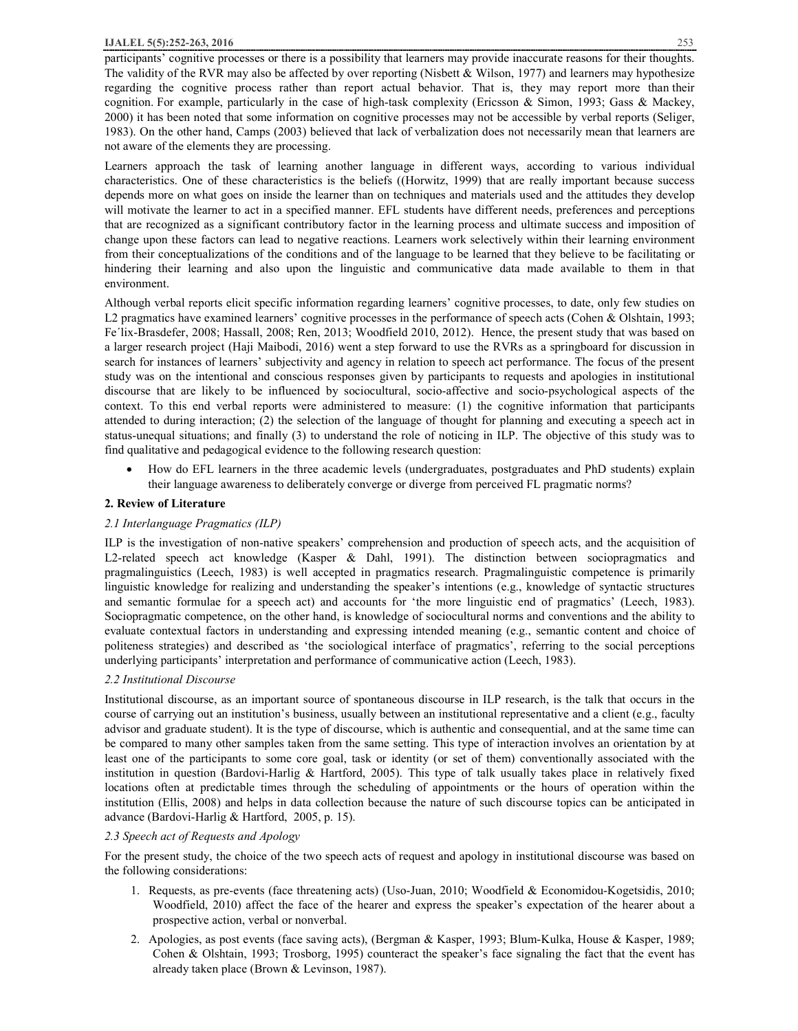participants' cognitive processes or there is a possibility that learners may provide inaccurate reasons for their thoughts. The validity of the RVR may also be affected by over reporting (Nisbett & Wilson, 1977) and learners may hypothesize regarding the cognitive process rather than report actual behavior. That is, they may report more than their cognition. For example, particularly in the case of high-task complexity (Ericsson & Simon, 1993; Gass & Mackey, 2000) it has been noted that some information on cognitive processes may not be accessible by verbal reports (Seliger, 1983). On the other hand, Camps (2003) believed that lack of verbalization does not necessarily mean that learners are not aware of the elements they are processing.

Learners approach the task of learning another language in different ways, according to various individual characteristics. One of these characteristics is the beliefs ((Horwitz, 1999) that are really important because success depends more on what goes on inside the learner than on techniques and materials used and the attitudes they develop will motivate the learner to act in a specified manner. EFL students have different needs, preferences and perceptions that are recognized as a significant contributory factor in the learning process and ultimate success and imposition of change upon these factors can lead to negative reactions. Learners work selectively within their learning environment from their conceptualizations of the conditions and of the language to be learned that they believe to be facilitating or hindering their learning and also upon the linguistic and communicative data made available to them in that environment.

Although verbal reports elicit specific information regarding learners' cognitive processes, to date, only few studies on L2 pragmatics have examined learners' cognitive processes in the performance of speech acts (Cohen & Olshtain, 1993; Fe'lix-Brasdefer, 2008; Hassall, 2008; Ren, 2013; Woodfield 2010, 2012). Hence, the present study that was based on a larger research project (Haji Maibodi, 2016) went a step forward to use the RVRs as a springboard for discussion in search for instances of learners' subjectivity and agency in relation to speech act performance. The focus of the present study was on the intentional and conscious responses given by participants to requests and apologies in institutional discourse that are likely to be influenced by sociocultural, socio-affective and socio-psychological aspects of the context. To this end verbal reports were administered to measure: (1) the cognitive information that participants attended to during interaction; (2) the selection of the language of thought for planning and executing a speech act in status-unequal situations; and finally (3) to understand the role of noticing in ILP. The objective of this study was to find qualitative and pedagogical evidence to the following research question:

· How do EFL learners in the three academic levels (undergraduates, postgraduates and PhD students) explain their language awareness to deliberately converge or diverge from perceived FL pragmatic norms?

#### **2. Review of Literature**

# *2.1 Interlanguage Pragmatics (ILP)*

ILP is the investigation of non-native speakers' comprehension and production of speech acts, and the acquisition of L2-related speech act knowledge (Kasper & Dahl, 1991). The distinction between sociopragmatics and pragmalinguistics (Leech, 1983) is well accepted in pragmatics research. Pragmalinguistic competence is primarily linguistic knowledge for realizing and understanding the speaker's intentions (e.g., knowledge of syntactic structures and semantic formulae for a speech act) and accounts for 'the more linguistic end of pragmatics' (Leech, 1983). Sociopragmatic competence, on the other hand, is knowledge of sociocultural norms and conventions and the ability to evaluate contextual factors in understanding and expressing intended meaning (e.g., semantic content and choice of politeness strategies) and described as 'the sociological interface of pragmatics', referring to the social perceptions underlying participants' interpretation and performance of communicative action (Leech, 1983).

# *2.2 Institutional Discourse*

Institutional discourse, as an important source of spontaneous discourse in ILP research, is the talk that occurs in the course of carrying out an institution's business, usually between an institutional representative and a client (e.g., faculty advisor and graduate student). It is the type of discourse, which is authentic and consequential, and at the same time can be compared to many other samples taken from the same setting. This type of interaction involves an orientation by at least one of the participants to some core goal, task or identity (or set of them) conventionally associated with the institution in question (Bardovi-Harlig & Hartford, 2005). This type of talk usually takes place in relatively fixed locations often at predictable times through the scheduling of appointments or the hours of operation within the institution (Ellis, 2008) and helps in data collection because the nature of such discourse topics can be anticipated in advance (Bardovi-Harlig & Hartford, 2005, p. 15).

# *2.3 Speech act of Requests and Apology*

For the present study, the choice of the two speech acts of request and apology in institutional discourse was based on the following considerations:

- 1. Requests, as pre-events (face threatening acts) (Uso-Juan, 2010; Woodfield & Economidou-Kogetsidis, 2010; Woodfield, 2010) affect the face of the hearer and express the speaker's expectation of the hearer about a prospective action, verbal or nonverbal.
- 2. Apologies, as post events (face saving acts), (Bergman & Kasper, 1993; Blum-Kulka, House & Kasper, 1989; Cohen & Olshtain, 1993; Trosborg, 1995) counteract the speaker's face signaling the fact that the event has already taken place (Brown & Levinson, 1987).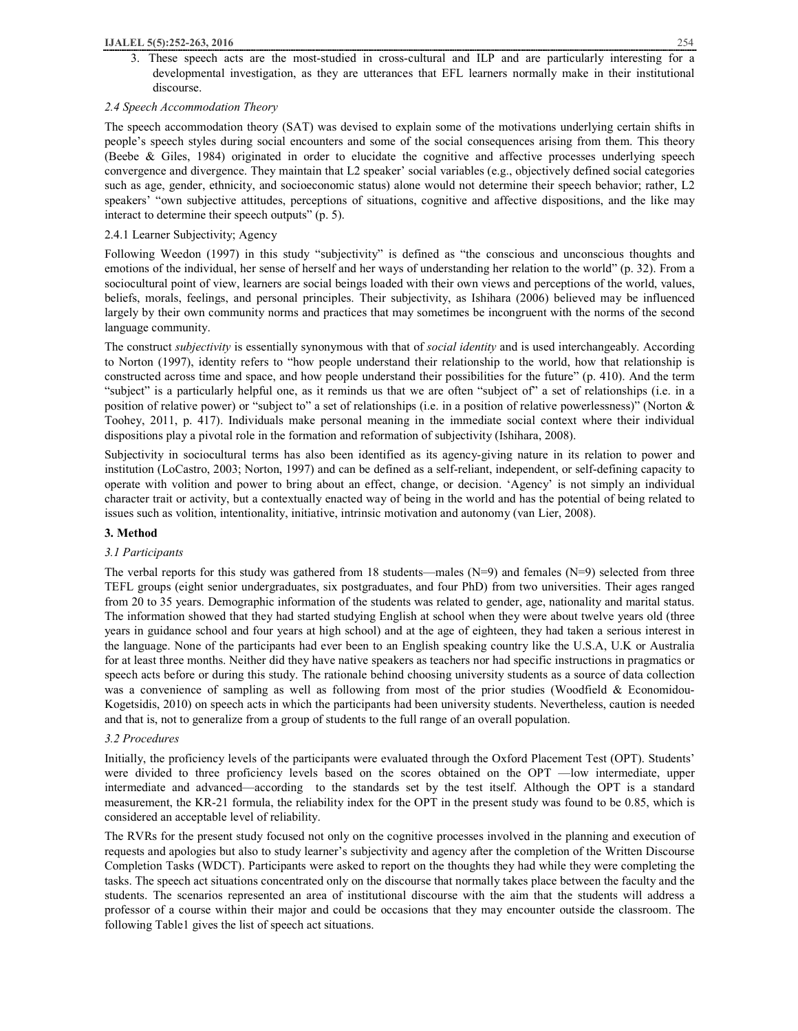3. These speech acts are the most-studied in cross-cultural and ILP and are particularly interesting for a developmental investigation, as they are utterances that EFL learners normally make in their institutional discourse.

#### *2.4 Speech Accommodation Theory*

The speech accommodation theory (SAT) was devised to explain some of the motivations underlying certain shifts in people's speech styles during social encounters and some of the social consequences arising from them. This theory (Beebe & Giles, 1984) originated in order to elucidate the cognitive and affective processes underlying speech convergence and divergence. They maintain that L2 speaker' social variables (e.g., objectively defined social categories such as age, gender, ethnicity, and socioeconomic status) alone would not determine their speech behavior; rather, L2 speakers' "own subjective attitudes, perceptions of situations, cognitive and affective dispositions, and the like may interact to determine their speech outputs" (p. 5).

# 2.4.1 Learner Subjectivity; Agency

Following Weedon (1997) in this study "subjectivity" is defined as "the conscious and unconscious thoughts and emotions of the individual, her sense of herself and her ways of understanding her relation to the world" (p. 32). From a sociocultural point of view, learners are social beings loaded with their own views and perceptions of the world, values, beliefs, morals, feelings, and personal principles. Their subjectivity, as Ishihara (2006) believed may be influenced largely by their own community norms and practices that may sometimes be incongruent with the norms of the second language community.

The construct *subjectivity* is essentially synonymous with that of *social identity* and is used interchangeably. According to Norton (1997), identity refers to "how people understand their relationship to the world, how that relationship is constructed across time and space, and how people understand their possibilities for the future" (p. 410). And the term "subject" is a particularly helpful one, as it reminds us that we are often "subject of" a set of relationships (i.e. in a position of relative power) or "subject to" a set of relationships (i.e. in a position of relative powerlessness)" (Norton & Toohey, 2011, p. 417). Individuals make personal meaning in the immediate social context where their individual dispositions play a pivotal role in the formation and reformation of subjectivity (Ishihara, 2008).

Subjectivity in sociocultural terms has also been identified as its agency-giving nature in its relation to power and institution (LoCastro, 2003; Norton, 1997) and can be defined as a self-reliant, independent, or self-defining capacity to operate with volition and power to bring about an effect, change, or decision. 'Agency' is not simply an individual character trait or activity, but a contextually enacted way of being in the world and has the potential of being related to issues such as volition, intentionality, initiative, intrinsic motivation and autonomy (van Lier, 2008).

# **3. Method**

#### *3.1 Participants*

The verbal reports for this study was gathered from 18 students—males (N=9) and females (N=9) selected from three TEFL groups (eight senior undergraduates, six postgraduates, and four PhD) from two universities. Their ages ranged from 20 to 35 years. Demographic information of the students was related to gender, age, nationality and marital status. The information showed that they had started studying English at school when they were about twelve years old (three years in guidance school and four years at high school) and at the age of eighteen, they had taken a serious interest in the language. None of the participants had ever been to an English speaking country like the U.S.A, U.K or Australia for at least three months. Neither did they have native speakers as teachers nor had specific instructions in pragmatics or speech acts before or during this study. The rationale behind choosing university students as a source of data collection was a convenience of sampling as well as following from most of the prior studies (Woodfield & Economidou-Kogetsidis, 2010) on speech acts in which the participants had been university students. Nevertheless, caution is needed and that is, not to generalize from a group of students to the full range of an overall population.

#### *3.2 Procedures*

Initially, the proficiency levels of the participants were evaluated through the Oxford Placement Test (OPT). Students' were divided to three proficiency levels based on the scores obtained on the OPT —low intermediate, upper intermediate and advanced—according to the standards set by the test itself. Although the OPT is a standard measurement, the KR-21 formula, the reliability index for the OPT in the present study was found to be 0.85, which is considered an acceptable level of reliability.

The RVRs for the present study focused not only on the cognitive processes involved in the planning and execution of requests and apologies but also to study learner's subjectivity and agency after the completion of the Written Discourse Completion Tasks (WDCT). Participants were asked to report on the thoughts they had while they were completing the tasks. The speech act situations concentrated only on the discourse that normally takes place between the faculty and the students. The scenarios represented an area of institutional discourse with the aim that the students will address a professor of a course within their major and could be occasions that they may encounter outside the classroom. The following Table1 gives the list of speech act situations.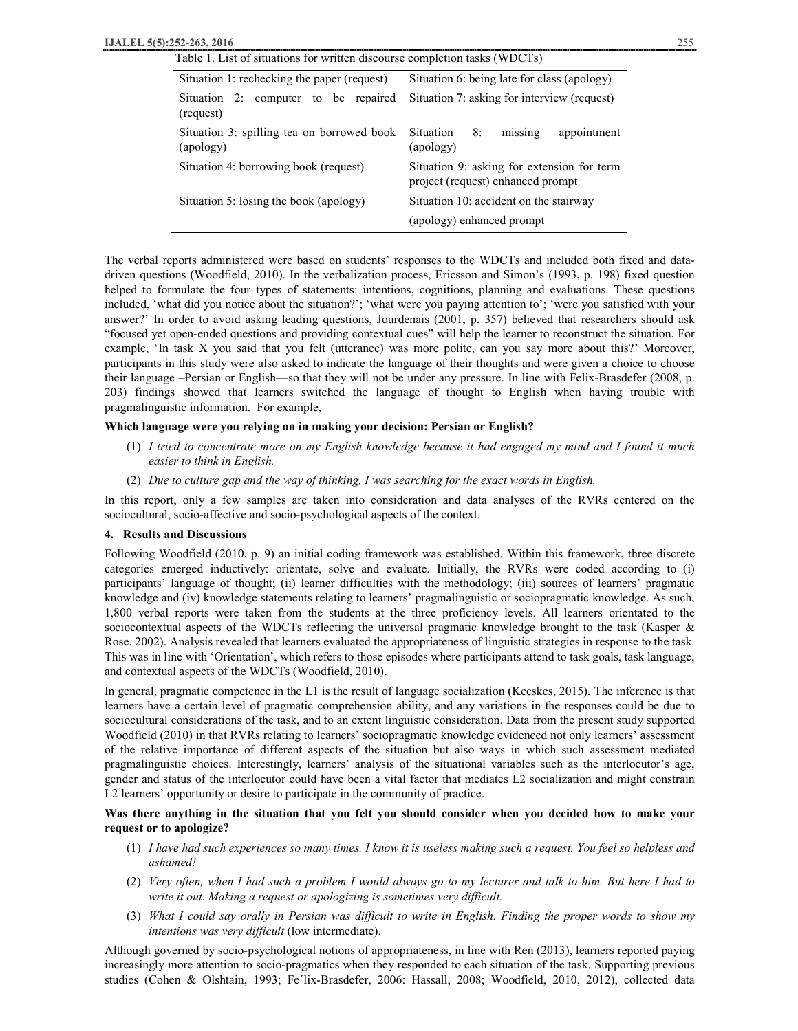| Table 1. List of situations for written discourse completion tasks (WDCTs) |                                                                                 |  |  |
|----------------------------------------------------------------------------|---------------------------------------------------------------------------------|--|--|
| Situation 1: rechecking the paper (request)                                | Situation 6: being late for class (apology)                                     |  |  |
| Situation 2: computer to be repaired<br>(request)                          | Situation 7: asking for interview (request)                                     |  |  |
| Situation 3: spilling tea on borrowed book<br>(apology)                    | <b>Situation</b><br>8:<br>missing<br>appointment<br>(apology)                   |  |  |
| Situation 4: borrowing book (request)                                      | Situation 9: asking for extension for term<br>project (request) enhanced prompt |  |  |
| Situation 5: losing the book (apology)                                     | Situation 10: accident on the stairway                                          |  |  |
|                                                                            | (apology) enhanced prompt                                                       |  |  |

The verbal reports administered were based on students' responses to the WDCTs and included both fixed and datadriven questions (Woodfield, 2010). In the verbalization process, Ericsson and Simon's (1993, p. 198) fixed question helped to formulate the four types of statements: intentions, cognitions, planning and evaluations. These questions included, 'what did you notice about the situation?'; 'what were you paying attention to'; 'were you satisfied with your answer?' In order to avoid asking leading questions, Jourdenais (2001, p. 357) believed that researchers should ask "focused yet open-ended questions and providing contextual cues" will help the learner to reconstruct the situation. For example, 'In task X you said that you felt (utterance) was more polite, can you say more about this?' Moreover, participants in this study were also asked to indicate the language of their thoughts and were given a choice to choose their language –Persian or English—so that they will not be under any pressure. In line with Felix-Brasdefer (2008, p. 203) findings showed that learners switched the language of thought to English when having trouble with pragmalinguistic information. For example,

#### **Which language were you relying on in making your decision: Persian or English?**

- $(1)$  I tried to concentrate more on my English knowledge because it had engaged my mind and I found it much *easier to think in English.*
- (2) *Due to culture gap and the way of thinking, I was searching for the exact words in English.*

In this report, only a few samples are taken into consideration and data analyses of the RVRs centered on the sociocultural, socio-affective and socio-psychological aspects of the context.

#### **4. Results and Discussions**

Following Woodfield (2010, p. 9) an initial coding framework was established. Within this framework, three discrete categories emerged inductively: orientate, solve and evaluate. Initially, the RVRs were coded according to (i) participants' language of thought; (ii) learner difficulties with the methodology; (iii) sources of learners' pragmatic knowledge and (iv) knowledge statements relating to learners' pragmalinguistic or sociopragmatic knowledge. As such, 1,800 verbal reports were taken from the students at the three proficiency levels. All learners orientated to the sociocontextual aspects of the WDCTs reflecting the universal pragmatic knowledge brought to the task (Kasper & Rose, 2002). Analysis revealed that learners evaluated the appropriateness of linguistic strategies in response to the task. This was in line with 'Orientation', which refers to those episodes where participants attend to task goals, task language, and contextual aspects of the WDCTs (Woodfield, 2010).

In general, pragmatic competence in the L1 is the result of language socialization (Kecskes, 2015). The inference is that learners have a certain level of pragmatic comprehension ability, and any variations in the responses could be due to sociocultural considerations of the task, and to an extent linguistic consideration. Data from the present study supported Woodfield (2010) in that RVRs relating to learners' sociopragmatic knowledge evidenced not only learners' assessment of the relative importance of different aspects of the situation but also ways in which such assessment mediated pragmalinguistic choices. Interestingly, learners' analysis of the situational variables such as the interlocutor's age, gender and status of the interlocutor could have been a vital factor that mediates L2 socialization and might constrain L2 learners' opportunity or desire to participate in the community of practice.

#### Was there anything in the situation that you felt you should consider when you decided how to make your **request or to apologize?**

- (1) *I have had such experiences so many times. I know it is useless making such a request. You feel so helpless and ashamed!*
- (2) Very often, when I had such a problem I would always go to my lecturer and talk to him. But here I had to *write it out. Making a request or apologizing is sometimes very difficult.*
- (3) What I could say orally in Persian was difficult to write in English. Finding the proper words to show my *intentions was very difficult* (low intermediate).

Although governed by socio-psychological notions of appropriateness, in line with Ren (2013), learners reported paying increasingly more attention to socio-pragmatics when they responded to each situation of the task. Supporting previous studies (Cohen & Olshtain, 1993; Fe´lix-Brasdefer, 2006: Hassall, 2008; Woodfield, 2010, 2012), collected data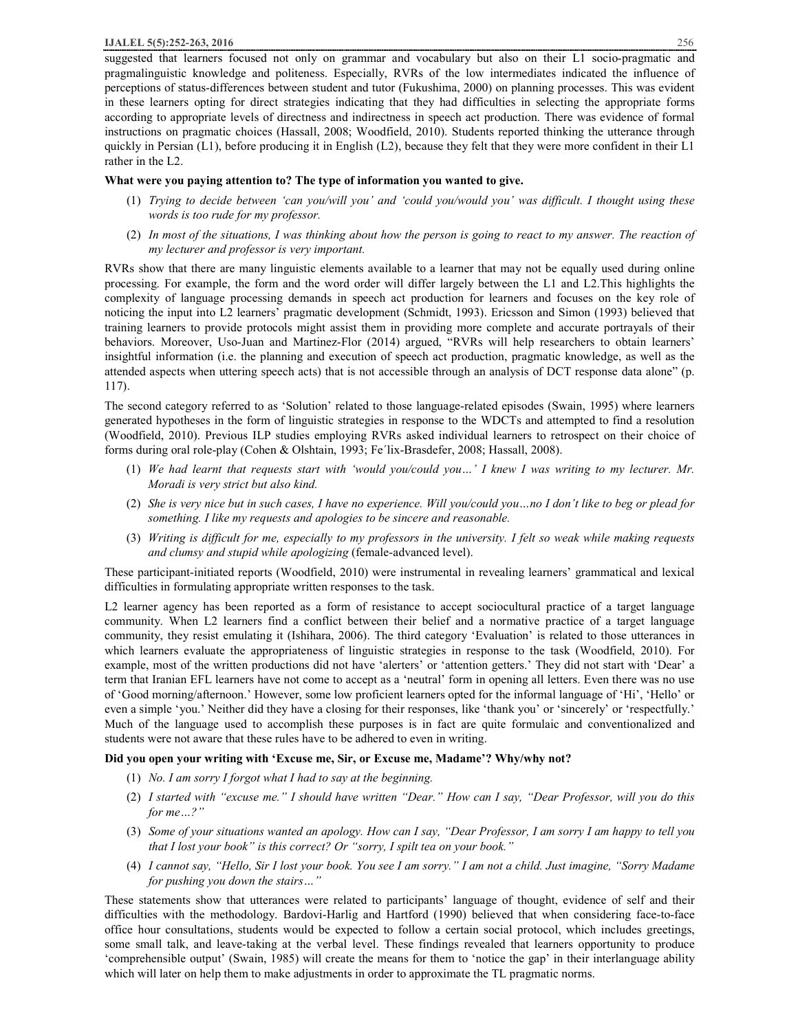pragmalinguistic knowledge and politeness. Especially, RVRs of the low intermediates indicated the influence of perceptions of status-differences between student and tutor (Fukushima, 2000) on planning processes. This was evident in these learners opting for direct strategies indicating that they had difficulties in selecting the appropriate forms according to appropriate levels of directness and indirectness in speech act production. There was evidence of formal instructions on pragmatic choices (Hassall, 2008; Woodfield, 2010). Students reported thinking the utterance through quickly in Persian (L1), before producing it in English (L2), because they felt that they were more confident in their L1 rather in the L2.

# **What were you paying attention to? The type of information you wanted to give.**

- (1) Trying to decide between 'can you/will you' and 'could you/would you' was difficult. I thought using these *words is too rude for my professor.*
- (2) In most of the situations, I was thinking about how the person is going to react to my answer. The reaction of *my lecturer and professor is very important.*

RVRs show that there are many linguistic elements available to a learner that may not be equally used during online processing. For example, the form and the word order will differ largely between the L1 and L2.This highlights the complexity of language processing demands in speech act production for learners and focuses on the key role of noticing the input into L2 learners' pragmatic development (Schmidt, 1993). Ericsson and Simon (1993) believed that training learners to provide protocols might assist them in providing more complete and accurate portrayals of their behaviors. Moreover, Uso-Juan and Martinez-Flor (2014) argued, "RVRs will help researchers to obtain learners' insightful information (i.e. the planning and execution of speech act production, pragmatic knowledge, as well as the attended aspects when uttering speech acts) that is not accessible through an analysis of DCT response data alone" (p. 117).

The second category referred to as 'Solution' related to those language-related episodes (Swain, 1995) where learners generated hypotheses in the form of linguistic strategies in response to the WDCTs and attempted to find a resolution (Woodfield, 2010). Previous ILP studies employing RVRs asked individual learners to retrospect on their choice of forms during oral role-play (Cohen & Olshtain, 1993; Fe´lix-Brasdefer, 2008; Hassall, 2008).

- (1) We had learnt that requests start with 'would you/could you...' I knew I was writing to my lecturer. Mr. *Moradi is very strict but also kind.*
- (2) She is very nice but in such cases, I have no experience. Will you/could you...no I don't like to beg or plead for *something. I like my requests and apologies to be sincere and reasonable.*
- (3) Writing is difficult for me, especially to my professors in the university. I felt so weak while making requests *and clumsy and stupid while apologizing* (female-advanced level).

These participant-initiated reports (Woodfield, 2010) were instrumental in revealing learners' grammatical and lexical difficulties in formulating appropriate written responses to the task.

L2 learner agency has been reported as a form of resistance to accept sociocultural practice of a target language community. When L2 learners find a conflict between their belief and a normative practice of a target language community, they resist emulating it (Ishihara, 2006). The third category 'Evaluation' is related to those utterances in which learners evaluate the appropriateness of linguistic strategies in response to the task (Woodfield, 2010). For example, most of the written productions did not have 'alerters' or 'attention getters.' They did not start with 'Dear' a term that Iranian EFL learners have not come to accept as a 'neutral' form in opening all letters. Even there was no use of 'Good morning/afternoon.' However, some low proficient learners opted for the informal language of 'Hi', 'Hello' or even a simple 'you.' Neither did they have a closing for their responses, like 'thank you' or 'sincerely' or 'respectfully.' Much of the language used to accomplish these purposes is in fact are quite formulaic and conventionalized and students were not aware that these rules have to be adhered to even in writing.

# **Did you open your writing with 'Excuse me, Sir, or Excuse me, Madame'? Why/why not?**

- (1) *No. I am sorry I forgot what I had to say at the beginning.*
- (2) I started with "excuse me." I should have written "Dear." How can I say, "Dear Professor, will you do this *for me…?"*
- (3) Some of your situations wanted an apology. How can I say, "Dear Professor, I am sorry I am happy to tell you *that I lost your book" is this correct? Or "sorry, I spilt tea on your book."*
- (4) I cannot say, "Hello, Sir I lost your book. You see I am sorry." I am not a child. Just imagine, "Sorry Madame *for pushing you down the stairs…"*

These statements show that utterances were related to participants' language of thought, evidence of self and their difficulties with the methodology. Bardovi-Harlig and Hartford (1990) believed that when considering face-to-face office hour consultations, students would be expected to follow a certain social protocol, which includes greetings, some small talk, and leave-taking at the verbal level. These findings revealed that learners opportunity to produce 'comprehensible output' (Swain, 1985) will create the means for them to 'notice the gap' in their interlanguage ability which will later on help them to make adjustments in order to approximate the TL pragmatic norms.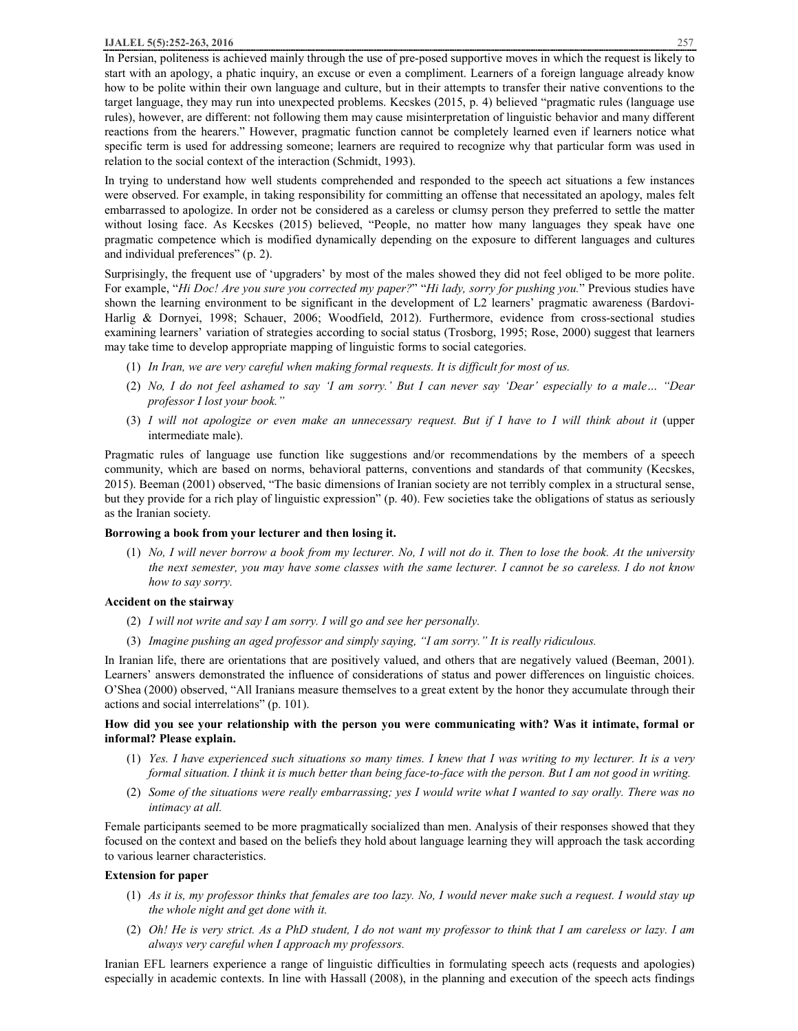In Persian, politeness is achieved mainly through the use of pre-posed supportive moves in which the request is likely to start with an apology, a phatic inquiry, an excuse or even a compliment. Learners of a foreign language already know how to be polite within their own language and culture, but in their attempts to transfer their native conventions to the target language, they may run into unexpected problems. Kecskes (2015, p. 4) believed "pragmatic rules (language use rules), however, are different: not following them may cause misinterpretation of linguistic behavior and many different reactions from the hearers." However, pragmatic function cannot be completely learned even if learners notice what specific term is used for addressing someone; learners are required to recognize why that particular form was used in relation to the social context of the interaction (Schmidt, 1993).

In trying to understand how well students comprehended and responded to the speech act situations a few instances were observed. For example, in taking responsibility for committing an offense that necessitated an apology, males felt embarrassed to apologize. In order not be considered as a careless or clumsy person they preferred to settle the matter without losing face. As Kecskes (2015) believed, "People, no matter how many languages they speak have one pragmatic competence which is modified dynamically depending on the exposure to different languages and cultures and individual preferences" (p. 2).

Surprisingly, the frequent use of 'upgraders' by most of the males showed they did not feel obliged to be more polite. For example, "*Hi Doc! Are you sure you corrected my paper?*" "*Hi lady, sorry for pushing you.*" Previous studies have shown the learning environment to be significant in the development of L2 learners' pragmatic awareness (Bardovi-Harlig & Dornyei, 1998; Schauer, 2006; Woodfield, 2012). Furthermore, evidence from cross-sectional studies examining learners' variation of strategies according to social status (Trosborg, 1995; Rose, 2000) suggest that learners may take time to develop appropriate mapping of linguistic forms to social categories.

- (1) *In Iran, we are very careful when making formal requests. It is difficult for most of us.*
- (2) No, I do not feel ashamed to say 'I am sorry.' But I can never say 'Dear' especially to a male... "Dear *professor I lost your book."*
- (3) I will not apologize or even make an unnecessary request. But if I have to I will think about it (upper intermediate male).

Pragmatic rules of language use function like suggestions and/or recommendations by the members of a speech community, which are based on norms, behavioral patterns, conventions and standards of that community (Kecskes, 2015). Beeman (2001) observed, "The basic dimensions of Iranian society are not terribly complex in a structural sense, but they provide for a rich play of linguistic expression" (p. 40). Few societies take the obligations of status as seriously as the Iranian society.

# **Borrowing a book from your lecturer and then losing it.**

 $(1)$  No, I will never borrow a book from my lecturer. No, I will not do it. Then to lose the book. At the university the next semester, you may have some classes with the same lecturer. I cannot be so careless. I do not know *how to say sorry.* 

#### **Accident on the stairway**

- (2) *I will not write and say I am sorry. I will go and see her personally.*
- (3) *Imagine pushing an aged professor and simply saying, "I am sorry." It is really ridiculous.*

In Iranian life, there are orientations that are positively valued, and others that are negatively valued (Beeman, 2001). Learners' answers demonstrated the influence of considerations of status and power differences on linguistic choices. O'Shea (2000) observed, "All Iranians measure themselves to a great extent by the honor they accumulate through their actions and social interrelations" (p. 101).

# How did you see your relationship with the person you were communicating with? Was it intimate, formal or **informal? Please explain.**

- (1) Yes. I have experienced such situations so many times. I knew that I was writing to my lecturer. It is a very formal situation. I think it is much better than being face-to-face with the person. But I am not good in writing.
- (2) Some of the situations were really embarrassing; yes I would write what I wanted to say orally. There was no *intimacy at all.*

Female participants seemed to be more pragmatically socialized than men. Analysis of their responses showed that they focused on the context and based on the beliefs they hold about language learning they will approach the task according to various learner characteristics.

# **Extension for paper**

- $(1)$  As it is, my professor thinks that females are too lazy. No, I would never make such a request. I would stay up *the whole night and get done with it.*
- (2) Oh! He is very strict. As a PhD student, I do not want my professor to think that I am careless or lazy. I am *always very careful when I approach my professors.*

Iranian EFL learners experience a range of linguistic difficulties in formulating speech acts (requests and apologies) especially in academic contexts. In line with Hassall (2008), in the planning and execution of the speech acts findings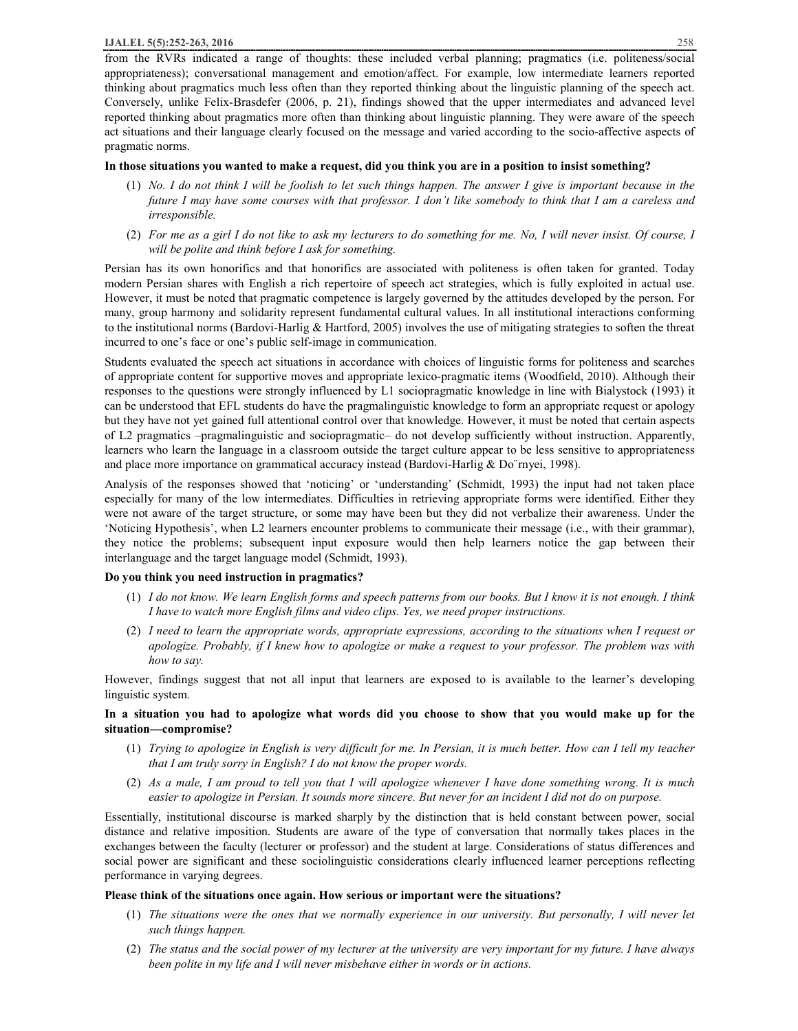from the RVRs indicated a range of thoughts: these included verbal planning; pragmatics (i.e. politeness/social appropriateness); conversational management and emotion/affect. For example, low intermediate learners reported thinking about pragmatics much less often than they reported thinking about the linguistic planning of the speech act. Conversely, unlike Felix-Brasdefer (2006, p. 21), findings showed that the upper intermediates and advanced level reported thinking about pragmatics more often than thinking about linguistic planning. They were aware of the speech act situations and their language clearly focused on the message and varied according to the socio-affective aspects of pragmatic norms.

#### In those situations you wanted to make a request, did you think you are in a position to insist something?

- (1) No. I do not think I will be foolish to let such things happen. The answer I give is important because in the future I may have some courses with that professor. I don't like somebody to think that I am a careless and *irresponsible.*
- (2) For me as a girl I do not like to ask my lecturers to do something for me. No, I will never insist. Of course, I *will be polite and think before I ask for something.*

Persian has its own honorifics and that honorifics are associated with politeness is often taken for granted. Today modern Persian shares with English a rich repertoire of speech act strategies, which is fully exploited in actual use. However, it must be noted that pragmatic competence is largely governed by the attitudes developed by the person. For many, group harmony and solidarity represent fundamental cultural values. In all institutional interactions conforming to the institutional norms (Bardovi-Harlig & Hartford, 2005) involves the use of mitigating strategies to soften the threat incurred to one's face or one's public self-image in communication.

Students evaluated the speech act situations in accordance with choices of linguistic forms for politeness and searches of appropriate content for supportive moves and appropriate lexico-pragmatic items (Woodfield, 2010). Although their responses to the questions were strongly influenced by L1 sociopragmatic knowledge in line with Bialystock (1993) it can be understood that EFL students do have the pragmalinguistic knowledge to form an appropriate request or apology but they have not yet gained full attentional control over that knowledge. However, it must be noted that certain aspects of L2 pragmatics –pragmalinguistic and sociopragmatic– do not develop sufficiently without instruction. Apparently, learners who learn the language in a classroom outside the target culture appear to be less sensitive to appropriateness and place more importance on grammatical accuracy instead (Bardovi-Harlig & Do¨rnyei, 1998).

Analysis of the responses showed that 'noticing' or 'understanding' (Schmidt, 1993) the input had not taken place especially for many of the low intermediates. Difficulties in retrieving appropriate forms were identified. Either they were not aware of the target structure, or some may have been but they did not verbalize their awareness. Under the 'Noticing Hypothesis', when L2 learners encounter problems to communicate their message (i.e., with their grammar), they notice the problems; subsequent input exposure would then help learners notice the gap between their interlanguage and the target language model (Schmidt, 1993).

# **Do you think you need instruction in pragmatics?**

- (1) I do not know. We learn English forms and speech patterns from our books. But I know it is not enough. I think *I have to watch more English films and video clips. Yes, we need proper instructions.*
- (2) I need to learn the appropriate words, appropriate expressions, according to the situations when I request or apologize. Probably, if I knew how to apologize or make a request to your professor. The problem was with *how to say.*

However, findings suggest that not all input that learners are exposed to is available to the learner's developing linguistic system.

# In a situation you had to apologize what words did you choose to show that you would make up for the **situation—compromise?**

- (1) Trying to apologize in English is very difficult for me. In Persian, it is much better. How can I tell my teacher *that I am truly sorry in English? I do not know the proper words.*
- (2) As a male, I am proud to tell you that I will apologize whenever I have done something wrong. It is much easier to apologize in Persian. It sounds more sincere. But never for an incident I did not do on purpose.

Essentially, institutional discourse is marked sharply by the distinction that is held constant between power, social distance and relative imposition. Students are aware of the type of conversation that normally takes places in the exchanges between the faculty (lecturer or professor) and the student at large. Considerations of status differences and social power are significant and these sociolinguistic considerations clearly influenced learner perceptions reflecting performance in varying degrees.

# **Please think of the situations once again. How serious or important were the situations?**

- (1) The situations were the ones that we normally experience in our university. But personally, I will never let *such things happen.*
- (2) The status and the social power of my lecturer at the university are very important for my future. I have always *been polite in my life and I will never misbehave either in words or in actions.*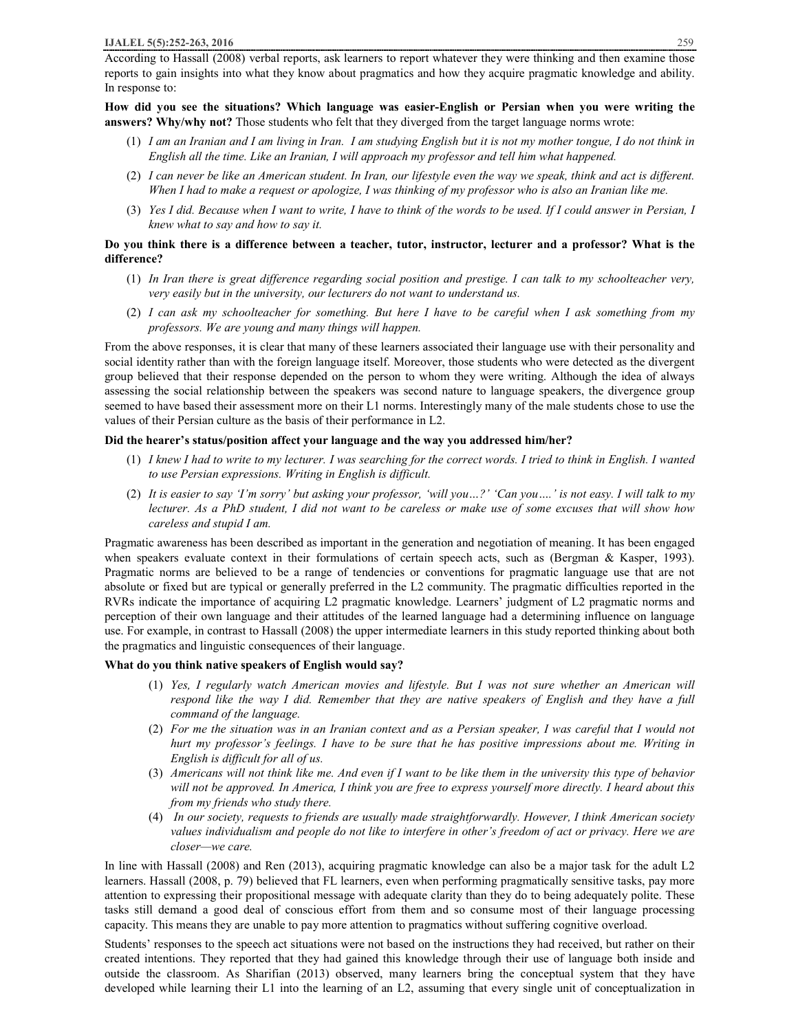According to Hassall (2008) verbal reports, ask learners to report whatever they were thinking and then examine those reports to gain insights into what they know about pragmatics and how they acquire pragmatic knowledge and ability. In response to:

**How did you see the situations? Which language was easier-English or Persian when you were writing the answers? Why/why not?** Those students who felt that they diverged from the target language norms wrote:

- (1) I am an Iranian and I am living in Iran. I am studying English but it is not my mother tongue, I do not think in *English all the time. Like an Iranian, I will approach my professor and tell him what happened.*
- (2) I can never be like an American student. In Iran, our lifestyle even the way we speak, think and act is different. When I had to make a request or apologize, I was thinking of my professor who is also an Iranian like me.
- (3) Yes I did. Because when I want to write, I have to think of the words to be used. If I could answer in Persian, I *knew what to say and how to say it.*

#### Do you think there is a difference between a teacher, tutor, instructor, lecturer and a professor? What is the **difference?**

- (1) In Iran there is great difference regarding social position and prestige. I can talk to my schoolteacher very, *very easily but in the university, our lecturers do not want to understand us.*
- (2) I can ask my schoolteacher for something. But here I have to be careful when I ask something from my *professors. We are young and many things will happen.*

From the above responses, it is clear that many of these learners associated their language use with their personality and social identity rather than with the foreign language itself. Moreover, those students who were detected as the divergent group believed that their response depended on the person to whom they were writing. Although the idea of always assessing the social relationship between the speakers was second nature to language speakers, the divergence group seemed to have based their assessment more on their L1 norms. Interestingly many of the male students chose to use the values of their Persian culture as the basis of their performance in L2.

#### **Did the hearer's status/position affect your language and the way you addressed him/her?**

- (1) I knew I had to write to my lecturer. I was searching for the correct words. I tried to think in English. I wanted *to use Persian expressions. Writing in English is difficult.*
- (2) It is easier to say T'm sorry' but asking your professor, 'will you...?' 'Can you....' is not easy. I will talk to my lecturer. As a PhD student, I did not want to be careless or make use of some excuses that will show how *careless and stupid I am.*

Pragmatic awareness has been described as important in the generation and negotiation of meaning. It has been engaged when speakers evaluate context in their formulations of certain speech acts, such as (Bergman & Kasper, 1993). Pragmatic norms are believed to be a range of tendencies or conventions for pragmatic language use that are not absolute or fixed but are typical or generally preferred in the L2 community. The pragmatic difficulties reported in the RVRs indicate the importance of acquiring L2 pragmatic knowledge. Learners' judgment of L2 pragmatic norms and perception of their own language and their attitudes of the learned language had a determining influence on language use. For example, in contrast to Hassall (2008) the upper intermediate learners in this study reported thinking about both the pragmatics and linguistic consequences of their language.

#### **What do you think native speakers of English would say?**

- (1) *Yes, I regularly watch American movies and lifestyle. But I was not sure whether an American will*  respond like the way I did. Remember that they are native speakers of English and they have a full *command of the language.*
- (2) For me the situation was in an Iranian context and as a Persian speaker, I was careful that I would not hurt my professor's feelings. I have to be sure that he has positive impressions about me. Writing in *English is difficult for all of us.*
- (3) Americans will not think like me. And even if I want to be like them in the university this type of behavior will not be approved. In America, I think you are free to express yourself more directly. I heard about this *from my friends who study there.*
- (4) *In our society, requests to friends are usually made straightforwardly. However, I think American society*  values individualism and people do not like to interfere in other's freedom of act or privacy. Here we are *closer—we care.*

In line with Hassall (2008) and Ren (2013), acquiring pragmatic knowledge can also be a major task for the adult L2 learners. Hassall (2008, p. 79) believed that FL learners, even when performing pragmatically sensitive tasks, pay more attention to expressing their propositional message with adequate clarity than they do to being adequately polite. These tasks still demand a good deal of conscious effort from them and so consume most of their language processing capacity. This means they are unable to pay more attention to pragmatics without suffering cognitive overload.

Students' responses to the speech act situations were not based on the instructions they had received, but rather on their created intentions. They reported that they had gained this knowledge through their use of language both inside and outside the classroom. As Sharifian (2013) observed, many learners bring the conceptual system that they have developed while learning their L1 into the learning of an L2, assuming that every single unit of conceptualization in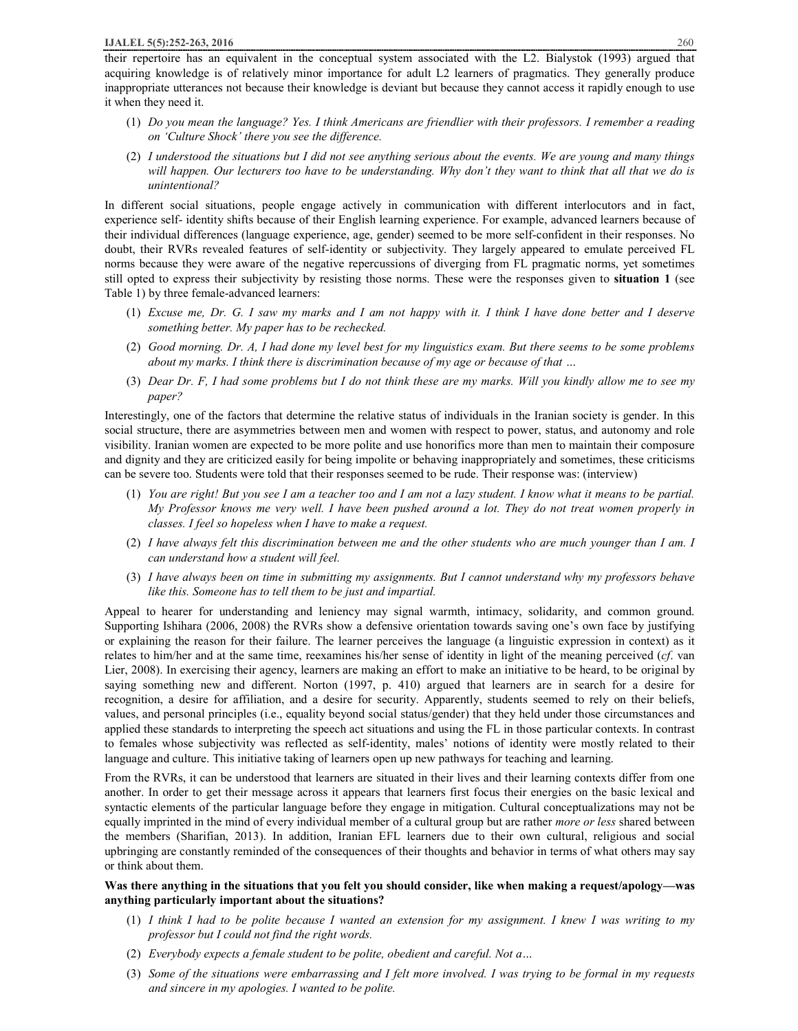their repertoire has an equivalent in the conceptual system associated with the L2. Bialystok (1993) argued that acquiring knowledge is of relatively minor importance for adult L2 learners of pragmatics. They generally produce inappropriate utterances not because their knowledge is deviant but because they cannot access it rapidly enough to use it when they need it.

- (1) Do you mean the language? Yes. I think Americans are friendlier with their professors. I remember a reading *on 'Culture Shock' there you see the difference.*
- $(2)$  I understood the situations but I did not see anything serious about the events. We are young and many things will happen. Our lecturers too have to be understanding. Why don't they want to think that all that we do is *unintentional?*

In different social situations, people engage actively in communication with different interlocutors and in fact, experience self- identity shifts because of their English learning experience. For example, advanced learners because of their individual differences (language experience, age, gender) seemed to be more self-confident in their responses. No doubt, their RVRs revealed features of self-identity or subjectivity. They largely appeared to emulate perceived FL norms because they were aware of the negative repercussions of diverging from FL pragmatic norms, yet sometimes still opted to express their subjectivity by resisting those norms. These were the responses given to **situation 1** (see Table 1) by three female-advanced learners:

- (1) Excuse me, Dr. G. I saw my marks and I am not happy with it. I think I have done better and I deserve *something better. My paper has to be rechecked.*
- (2) Good morning. Dr. A, I had done my level best for my linguistics exam. But there seems to be some problems *about my marks. I think there is discrimination because of my age or because of that …*
- (3) Dear Dr. F, I had some problems but I do not think these are my marks. Will you kindly allow me to see my *paper?*

Interestingly, one of the factors that determine the relative status of individuals in the Iranian society is gender. In this social structure, there are asymmetries between men and women with respect to power, status, and autonomy and role visibility. Iranian women are expected to be more polite and use honorifics more than men to maintain their composure and dignity and they are criticized easily for being impolite or behaving inappropriately and sometimes, these criticisms can be severe too. Students were told that their responses seemed to be rude. Their response was: (interview)

- (1) You are right! But you see I am a teacher too and I am not a lazy student. I know what it means to be partial. My Professor knows me very well. I have been pushed around a lot. They do not treat women properly in *classes. I feel so hopeless when I have to make a request.*
- (2) I have always felt this discrimination between me and the other students who are much younger than I am. I *can understand how a student will feel.*
- (3) I have always been on time in submitting my assignments. But I cannot understand why my professors behave *like this. Someone has to tell them to be just and impartial.*

Appeal to hearer for understanding and leniency may signal warmth, intimacy, solidarity, and common ground. Supporting Ishihara (2006, 2008) the RVRs show a defensive orientation towards saving one's own face by justifying or explaining the reason for their failure. The learner perceives the language (a linguistic expression in context) as it relates to him/her and at the same time, reexamines his/her sense of identity in light of the meaning perceived (*cf*. van Lier, 2008). In exercising their agency, learners are making an effort to make an initiative to be heard, to be original by saying something new and different. Norton (1997, p. 410) argued that learners are in search for a desire for recognition, a desire for affiliation, and a desire for security. Apparently, students seemed to rely on their beliefs, values, and personal principles (i.e., equality beyond social status/gender) that they held under those circumstances and applied these standards to interpreting the speech act situations and using the FL in those particular contexts. In contrast to females whose subjectivity was reflected as self-identity, males' notions of identity were mostly related to their language and culture. This initiative taking of learners open up new pathways for teaching and learning.

From the RVRs, it can be understood that learners are situated in their lives and their learning contexts differ from one another. In order to get their message across it appears that learners first focus their energies on the basic lexical and syntactic elements of the particular language before they engage in mitigation. Cultural conceptualizations may not be equally imprinted in the mind of every individual member of a cultural group but are rather *more or less* shared between the members (Sharifian, 2013). In addition, Iranian EFL learners due to their own cultural, religious and social upbringing are constantly reminded of the consequences of their thoughts and behavior in terms of what others may say or think about them.

#### **Was there anything in the situations that you felt you should consider, like when making a request/apology—was anything particularly important about the situations?**

- (1) I think I had to be polite because I wanted an extension for my assignment. I knew I was writing to my *professor but I could not find the right words.*
- (2) *Everybody expects a female student to be polite, obedient and careful. Not a…*
- (3) Some of the situations were embarrassing and I felt more involved. I was trying to be formal in my requests *and sincere in my apologies. I wanted to be polite.*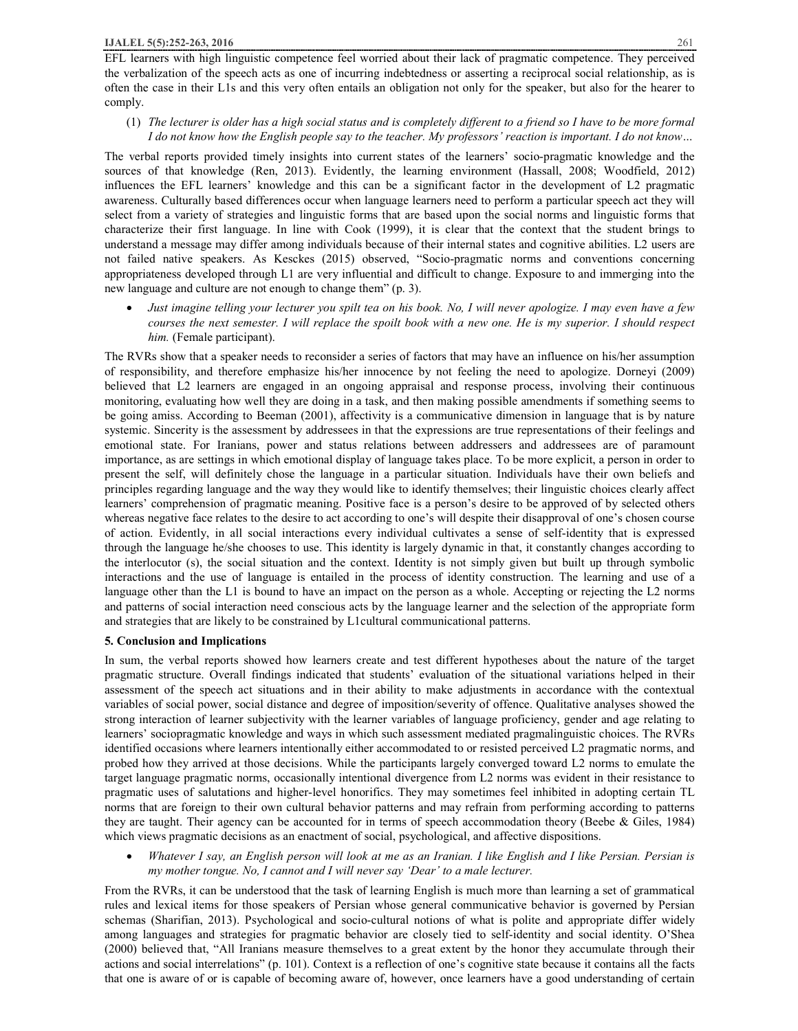EFL learners with high linguistic competence feel worried about their lack of pragmatic competence. They perceived the verbalization of the speech acts as one of incurring indebtedness or asserting a reciprocal social relationship, as is often the case in their L1s and this very often entails an obligation not only for the speaker, but also for the hearer to comply.

# (1) The lecturer is older has a high social status and is completely different to a friend so I have to be more formal I do not know how the English people say to the teacher. My professors' reaction is important. I do not know...

The verbal reports provided timely insights into current states of the learners' socio-pragmatic knowledge and the sources of that knowledge (Ren, 2013). Evidently, the learning environment (Hassall, 2008; Woodfield, 2012) influences the EFL learners' knowledge and this can be a significant factor in the development of L2 pragmatic awareness. Culturally based differences occur when language learners need to perform a particular speech act they will select from a variety of strategies and linguistic forms that are based upon the social norms and linguistic forms that characterize their first language. In line with Cook (1999), it is clear that the context that the student brings to understand a message may differ among individuals because of their internal states and cognitive abilities. L2 users are not failed native speakers. As Kesckes (2015) observed, "Socio-pragmatic norms and conventions concerning appropriateness developed through L1 are very influential and difficult to change. Exposure to and immerging into the new language and culture are not enough to change them" (p. 3).

Just imagine telling your lecturer you spilt tea on his book. No, I will never apologize. I may even have a few courses the next semester. I will replace the spoilt book with a new one. He is my superior. I should respect *him.* (Female participant).

The RVRs show that a speaker needs to reconsider a series of factors that may have an influence on his/her assumption of responsibility, and therefore emphasize his/her innocence by not feeling the need to apologize. Dorneyi (2009) believed that L2 learners are engaged in an ongoing appraisal and response process, involving their continuous monitoring, evaluating how well they are doing in a task, and then making possible amendments if something seems to be going amiss. According to Beeman (2001), affectivity is a communicative dimension in language that is by nature systemic. Sincerity is the assessment by addressees in that the expressions are true representations of their feelings and emotional state. For Iranians, power and status relations between addressers and addressees are of paramount importance, as are settings in which emotional display of language takes place. To be more explicit, a person in order to present the self, will definitely chose the language in a particular situation. Individuals have their own beliefs and principles regarding language and the way they would like to identify themselves; their linguistic choices clearly affect learners' comprehension of pragmatic meaning. Positive face is a person's desire to be approved of by selected others whereas negative face relates to the desire to act according to one's will despite their disapproval of one's chosen course of action. Evidently, in all social interactions every individual cultivates a sense of self-identity that is expressed through the language he/she chooses to use. This identity is largely dynamic in that, it constantly changes according to the interlocutor (s), the social situation and the context. Identity is not simply given but built up through symbolic interactions and the use of language is entailed in the process of identity construction. The learning and use of a language other than the L1 is bound to have an impact on the person as a whole. Accepting or rejecting the L2 norms and patterns of social interaction need conscious acts by the language learner and the selection of the appropriate form and strategies that are likely to be constrained by L1cultural communicational patterns.

# **5. Conclusion and Implications**

In sum, the verbal reports showed how learners create and test different hypotheses about the nature of the target pragmatic structure. Overall findings indicated that students' evaluation of the situational variations helped in their assessment of the speech act situations and in their ability to make adjustments in accordance with the contextual variables of social power, social distance and degree of imposition/severity of offence. Qualitative analyses showed the strong interaction of learner subjectivity with the learner variables of language proficiency, gender and age relating to learners' sociopragmatic knowledge and ways in which such assessment mediated pragmalinguistic choices. The RVRs identified occasions where learners intentionally either accommodated to or resisted perceived L2 pragmatic norms, and probed how they arrived at those decisions. While the participants largely converged toward L2 norms to emulate the target language pragmatic norms, occasionally intentional divergence from L2 norms was evident in their resistance to pragmatic uses of salutations and higher-level honorifics. They may sometimes feel inhibited in adopting certain TL norms that are foreign to their own cultural behavior patterns and may refrain from performing according to patterns they are taught. Their agency can be accounted for in terms of speech accommodation theory (Beebe & Giles, 1984) which views pragmatic decisions as an enactment of social, psychological, and affective dispositions.

Whatever I say, an English person will look at me as an Iranian. I like English and I like Persian. Persian is *my mother tongue. No, I cannot and I will never say 'Dear' to a male lecturer.* 

From the RVRs, it can be understood that the task of learning English is much more than learning a set of grammatical rules and lexical items for those speakers of Persian whose general communicative behavior is governed by Persian schemas (Sharifian, 2013). Psychological and socio-cultural notions of what is polite and appropriate differ widely among languages and strategies for pragmatic behavior are closely tied to self-identity and social identity. O'Shea (2000) believed that, "All Iranians measure themselves to a great extent by the honor they accumulate through their actions and social interrelations" (p. 101). Context is a reflection of one's cognitive state because it contains all the facts that one is aware of or is capable of becoming aware of, however, once learners have a good understanding of certain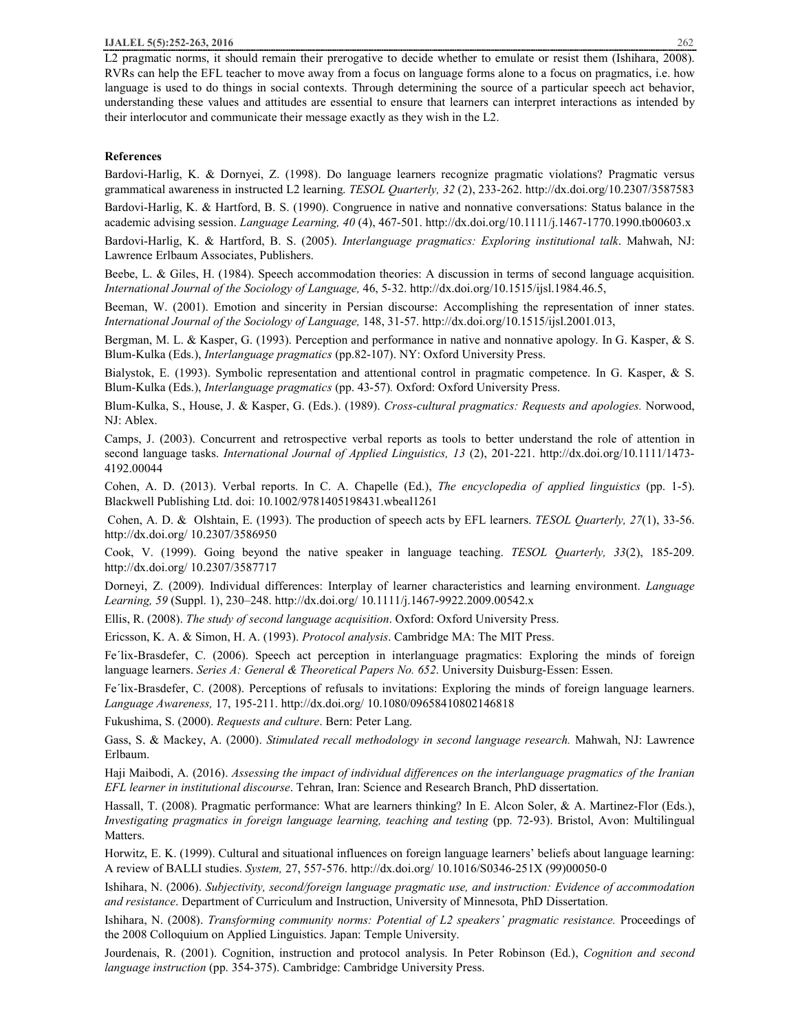L2 pragmatic norms, it should remain their prerogative to decide whether to emulate or resist them (Ishihara, 2008). RVRs can help the EFL teacher to move away from a focus on language forms alone to a focus on pragmatics, i.e. how language is used to do things in social contexts. Through determining the source of a particular speech act behavior, understanding these values and attitudes are essential to ensure that learners can interpret interactions as intended by their interlocutor and communicate their message exactly as they wish in the L2.

#### **References**

Bardovi-Harlig, K. & Dornyei, Z. (1998). Do language learners recognize pragmatic violations? Pragmatic versus grammatical awareness in instructed L2 learning. *TESOL Quarterly, 32* (2), 233-262. http://dx.doi.org/10.2307/3587583

Bardovi-Harlig, K. & Hartford, B. S. (1990). Congruence in native and nonnative conversations: Status balance in the academic advising session. *Language Learning, 40* (4), 467-501. http://dx.doi.org/10.1111/j.1467-1770.1990.tb00603.x

Bardovi-Harlig, K. & Hartford, B. S. (2005). *Interlanguage pragmatics: Exploring institutional talk*. Mahwah, NJ: Lawrence Erlbaum Associates, Publishers.

Beebe, L. & Giles, H. (1984). Speech accommodation theories: A discussion in terms of second language acquisition. *International Journal of the Sociology of Language,* 46, 5-32. http://dx.doi.org/10.1515/ijsl.1984.46.5,

Beeman, W. (2001). Emotion and sincerity in Persian discourse: Accomplishing the representation of inner states. *International Journal of the Sociology of Language,* 148, 31-57. http://dx.doi.org/10.1515/ijsl.2001.013,

Bergman, M. L. & Kasper, G. (1993). Perception and performance in native and nonnative apology. In G. Kasper, & S. Blum-Kulka (Eds.), *Interlanguage pragmatics* (pp.82-107). NY: Oxford University Press.

Bialystok, E. (1993). Symbolic representation and attentional control in pragmatic competence. In G. Kasper, & S. Blum-Kulka (Eds.), *Interlanguage pragmatics* (pp. 43-57)*.* Oxford: Oxford University Press.

Blum-Kulka, S., House, J. & Kasper, G. (Eds.). (1989). *Cross-cultural pragmatics: Requests and apologies.* Norwood, NJ: Ablex.

Camps, J. (2003). Concurrent and retrospective verbal reports as tools to better understand the role of attention in second language tasks. *International Journal of Applied Linguistics, 13* (2), 201-221. http://dx.doi.org/10.1111/1473- 4192.00044

Cohen, A. D. (2013). Verbal reports. In C. A. Chapelle (Ed.), *The encyclopedia of applied linguistics* (pp. 1-5). Blackwell Publishing Ltd. doi: 10.1002/9781405198431.wbeal1261

Cohen, A. D. & Olshtain, E. (1993). The production of speech acts by EFL learners. *TESOL Quarterly, 27*(1), 33-56. http://dx.doi.org/ 10.2307/3586950

Cook, V. (1999). Going beyond the native speaker in language teaching. *TESOL Quarterly, 33*(2), 185-209. http://dx.doi.org/ 10.2307/3587717

Dorneyi, Z. (2009). Individual differences: Interplay of learner characteristics and learning environment. *Language Learning, 59* (Suppl. 1), 230–248. http://dx.doi.org/ 10.1111/j.1467-9922.2009.00542.x

Ellis, R. (2008). *The study of second language acquisition*. Oxford: Oxford University Press.

Ericsson, K. A. & Simon, H. A. (1993). *Protocol analysis*. Cambridge MA: The MIT Press.

Fe´lix-Brasdefer, C. (2006). Speech act perception in interlanguage pragmatics: Exploring the minds of foreign language learners. *Series A: General & Theoretical Papers No. 652*. University Duisburg-Essen: Essen.

Fe´lix-Brasdefer, C. (2008). Perceptions of refusals to invitations: Exploring the minds of foreign language learners. *Language Awareness,* 17, 195-211. http://dx.doi.org/ 10.1080/09658410802146818

Fukushima, S. (2000). *Requests and culture*. Bern: Peter Lang.

Gass, S. & Mackey, A. (2000). *Stimulated recall methodology in second language research.* Mahwah, NJ: Lawrence Erlbaum.

Haji Maibodi, A. (2016). *Assessing the impact of individual differences on the interlanguage pragmatics of the Iranian EFL learner in institutional discourse*. Tehran, Iran: Science and Research Branch, PhD dissertation.

Hassall, T. (2008). Pragmatic performance: What are learners thinking? In E. Alcon Soler, & A. Martinez-Flor (Eds.), *Investigating pragmatics in foreign language learning, teaching and testing* (pp. 72-93). Bristol, Avon: Multilingual Matters.

Horwitz, E. K. (1999). Cultural and situational influences on foreign language learners' beliefs about language learning: A review of BALLI studies. *System,* 27, 557-576. http://dx.doi.org/ 10.1016/S0346-251X (99)00050-0

Ishihara, N. (2006). *Subjectivity, second/foreign language pragmatic use, and instruction: Evidence of accommodation and resistance*. Department of Curriculum and Instruction, University of Minnesota, PhD Dissertation.

Ishihara, N. (2008). *Transforming community norms: Potential of L2 speakers' pragmatic resistance.* Proceedings of the 2008 Colloquium on Applied Linguistics. Japan: Temple University.

Jourdenais, R. (2001). Cognition, instruction and protocol analysis. In Peter Robinson (Ed.), *Cognition and second language instruction* (pp. 354-375). Cambridge: Cambridge University Press.